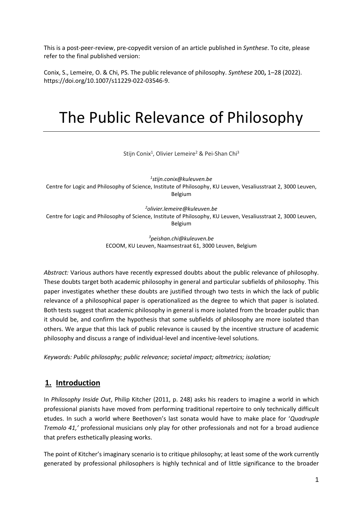This is a post-peer-review, pre-copyedit version of an article published in *Synthese*. To cite, please refer to the final published version:

Conix, S., Lemeire, O. & Chi, PS. The public relevance of philosophy. *Synthese* 200**,** 1–28 (2022). https://doi.org/10.1007/s11229-022-03546-9.

# The Public Relevance of Philosophy

Stijn Conix<sup>1</sup>, Olivier Lemeire<sup>2</sup> & Pei-Shan Chi<sup>3</sup>

*1 stijn.conix@kuleuven.be*

Centre for Logic and Philosophy of Science, Institute of Philosophy, KU Leuven, Vesaliusstraat 2, 3000 Leuven, Belgium

*<sup>2</sup>olivier.lemeire@kuleuven.be* 

Centre for Logic and Philosophy of Science, Institute of Philosophy, KU Leuven, Vesaliusstraat 2, 3000 Leuven, Belgium

> *<sup>3</sup>peishan.chi@kuleuven.be*  ECOOM, KU Leuven, Naamsestraat 61, 3000 Leuven, Belgium

*Abstract:* Various authors have recently expressed doubts about the public relevance of philosophy. These doubts target both academic philosophy in general and particular subfields of philosophy. This paper investigates whether these doubts are justified through two tests in which the lack of public relevance of a philosophical paper is operationalized as the degree to which that paper is isolated. Both tests suggest that academic philosophy in general is more isolated from the broader public than it should be, and confirm the hypothesis that some subfields of philosophy are more isolated than others. We argue that this lack of public relevance is caused by the incentive structure of academic philosophy and discuss a range of individual-level and incentive-level solutions.

*Keywords: Public philosophy; public relevance; societal impact; altmetrics; isolation;*

# **1. Introduction**

In *Philosophy Inside Out*, Philip Kitcher (2011, p. 248) asks his readers to imagine a world in which professional pianists have moved from performing traditional repertoire to only technically difficult etudes. In such a world where Beethoven's last sonata would have to make place for '*Quadruple Tremolo 41,'* professional musicians only play for other professionals and not for a broad audience that prefers esthetically pleasing works.

The point of Kitcher's imaginary scenario is to critique philosophy; at least some of the work currently generated by professional philosophers is highly technical and of little significance to the broader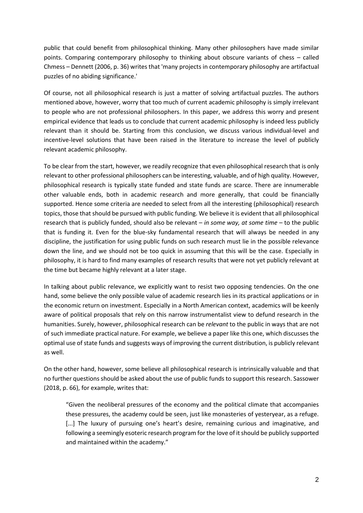public that could benefit from philosophical thinking. Many other philosophers have made similar points. Comparing contemporary philosophy to thinking about obscure variants of chess – called Chmess – Dennett (2006, p. 36) writes that 'many projects in contemporary philosophy are artifactual puzzles of no abiding significance.'

Of course, not all philosophical research is just a matter of solving artifactual puzzles. The authors mentioned above, however, worry that too much of current academic philosophy is simply irrelevant to people who are not professional philosophers. In this paper, we address this worry and present empirical evidence that leads us to conclude that current academic philosophy is indeed less publicly relevant than it should be. Starting from this conclusion, we discuss various individual-level and incentive-level solutions that have been raised in the literature to increase the level of publicly relevant academic philosophy.

To be clear from the start, however, we readily recognize that even philosophical research that is only relevant to other professional philosophers can be interesting, valuable, and of high quality. However, philosophical research is typically state funded and state funds are scarce. There are innumerable other valuable ends, both in academic research and more generally, that could be financially supported. Hence some criteria are needed to select from all the interesting (philosophical) research topics, those that should be pursued with public funding. We believe it is evident that all philosophical research that is publicly funded, should also be relevant – *in some way, at some time* – to the public that is funding it. Even for the blue-sky fundamental research that will always be needed in any discipline, the justification for using public funds on such research must lie in the possible relevance down the line, and we should not be too quick in assuming that this will be the case. Especially in philosophy, it is hard to find many examples of research results that were not yet publicly relevant at the time but became highly relevant at a later stage.

In talking about public relevance, we explicitly want to resist two opposing tendencies. On the one hand, some believe the only possible value of academic research lies in its practical applications or in the economic return on investment. Especially in a North American context, academics will be keenly aware of political proposals that rely on this narrow instrumentalist view to defund research in the humanities. Surely, however, philosophical research can be *relevant* to the public in ways that are not of such immediate practical nature. For example, we believe a paper like this one, which discusses the optimal use of state funds and suggests ways of improving the current distribution, is publicly relevant as well.

On the other hand, however, some believe all philosophical research is intrinsically valuable and that no further questions should be asked about the use of public funds to support this research. Sassower (2018, p. 66), for example, writes that:

"Given the neoliberal pressures of the economy and the political climate that accompanies these pressures, the academy could be seen, just like monasteries of yesteryear, as a refuge. [...] The luxury of pursuing one's heart's desire, remaining curious and imaginative, and following a seemingly esoteric research program for the love of it should be publicly supported and maintained within the academy."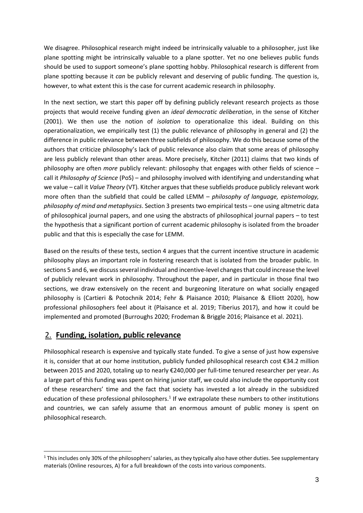We disagree. Philosophical research might indeed be intrinsically valuable to a philosopher, just like plane spotting might be intrinsically valuable to a plane spotter. Yet no one believes public funds should be used to support someone's plane spotting hobby. Philosophical research is different from plane spotting because it *can* be publicly relevant and deserving of public funding. The question is, however, to what extent this is the case for current academic research in philosophy.

In the next section, we start this paper off by defining publicly relevant research projects as those projects that would receive funding given an *ideal democratic deliberation*, in the sense of Kitcher (2001). We then use the notion of *isolation* to operationalize this ideal. Building on this operationalization, we empirically test (1) the public relevance of philosophy in general and (2) the difference in public relevance between three subfields of philosophy. We do this because some of the authors that criticize philosophy's lack of public relevance also claim that some areas of philosophy are less publicly relevant than other areas. More precisely, Kitcher (2011) claims that two kinds of philosophy are often *more* publicly relevant: philosophy that engages with other fields of science – call it *Philosophy of Science* (PoS) – and philosophy involved with identifying and understanding what we value – call it *Value Theory* (VT)*.* Kitcher argues that these subfields produce publicly relevant work more often than the subfield that could be called LEMM – *philosophy of language, epistemology, philosophy of mind and metaphysics*. Section 3 presents two empirical tests – one using altmetric data of philosophical journal papers, and one using the abstracts of philosophical journal papers – to test the hypothesis that a significant portion of current academic philosophy is isolated from the broader public and that this is especially the case for LEMM.

Based on the results of these tests, section 4 argues that the current incentive structure in academic philosophy plays an important role in fostering research that is isolated from the broader public. In sections 5 and 6, we discuss several individual and incentive-level changes that could increase the level of publicly relevant work in philosophy. Throughout the paper, and in particular in those final two sections, we draw extensively on the recent and burgeoning literature on what socially engaged philosophy is (Cartieri & Potochnik 2014; Fehr & Plaisance 2010; Plaisance & Elliott 2020), how professional philosophers feel about it (Plaisance et al. 2019; Tiberius 2017), and how it could be implemented and promoted (Burroughs 2020; Frodeman & Briggle 2016; Plaisance et al. 2021).

# 2. **Funding, isolation, public relevance**

Philosophical research is expensive and typically state funded. To give a sense of just how expensive it is, consider that at our home institution, publicly funded philosophical research cost €34.2 million between 2015 and 2020, totaling up to nearly €240,000 per full-time tenured researcher per year. As a large part of this funding was spent on hiring junior staff, we could also include the opportunity cost of these researchers' time and the fact that society has invested a lot already in the subsidized education of these professional philosophers.<sup>1</sup> If we extrapolate these numbers to other institutions and countries, we can safely assume that an enormous amount of public money is spent on philosophical research.

 $1$  This includes only 30% of the philosophers' salaries, as they typically also have other duties. See supplementary materials (Online resources, A) for a full breakdown of the costs into various components.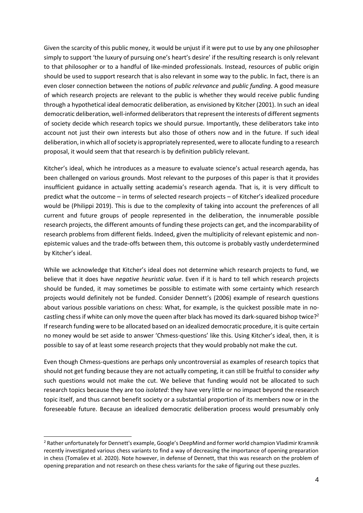Given the scarcity of this public money, it would be unjust if it were put to use by any one philosopher simply to support 'the luxury of pursuing one's heart's desire' if the resulting research is only relevant to that philosopher or to a handful of like-minded professionals. Instead, resources of public origin should be used to support research that is also relevant in some way to the public. In fact, there is an even closer connection between the notions of *public relevance* and *public funding*. A good measure of which research projects are relevant to the public is whether they would receive public funding through a hypothetical ideal democratic deliberation, as envisioned by Kitcher (2001). In such an ideal democratic deliberation, well-informed deliberators that represent the interests of different segments of society decide which research topics we should pursue. Importantly, these deliberators take into account not just their own interests but also those of others now and in the future. If such ideal deliberation, in which all of society is appropriately represented, were to allocate funding to a research proposal, it would seem that that research is by definition publicly relevant.

Kitcher's ideal, which he introduces as a measure to evaluate science's actual research agenda, has been challenged on various grounds. Most relevant to the purposes of this paper is that it provides insufficient guidance in actually setting academia's research agenda. That is, it is very difficult to predict what the outcome – in terms of selected research projects – of Kitcher's idealized procedure would be (Philippi 2019). This is due to the complexity of taking into account the preferences of all current and future groups of people represented in the deliberation, the innumerable possible research projects, the different amounts of funding these projects can get, and the incomparability of research problems from different fields. Indeed, given the multiplicity of relevant epistemic and nonepistemic values and the trade-offs between them, this outcome is probably vastly underdetermined by Kitcher's ideal.

While we acknowledge that Kitcher's ideal does not determine which research projects to fund, we believe that it does have *negative heuristic value*. Even if it is hard to tell which research projects should be funded, it may sometimes be possible to estimate with some certainty which research projects would definitely not be funded. Consider Dennett's (2006) example of research questions about various possible variations on chess: What, for example, is the quickest possible mate in nocastling chess if white can only move the queen after black has moved its dark-squared bishop twice?<sup>2</sup> If research funding were to be allocated based on an idealized democratic procedure, it is quite certain no money would be set aside to answer 'Chmess-questions' like this. Using Kitcher's ideal, then, it is possible to say of at least some research projects that they would probably not make the cut.

Even though Chmess-questions are perhaps only uncontroversial as examples of research topics that should not get funding because they are not actually competing, it can still be fruitful to consider *why* such questions would not make the cut. We believe that funding would not be allocated to such research topics because they are too *isolated*: they have very little or no impact beyond the research topic itself, and thus cannot benefit society or a substantial proportion of its members now or in the foreseeable future. Because an idealized democratic deliberation process would presumably only

<sup>&</sup>lt;sup>2</sup> Rather unfortunately for Dennett's example, Google's DeepMind and former world champion Vladimir Kramnik recently investigated various chess variants to find a way of decreasing the importance of opening preparation in chess (Tomašev et al. 2020). Note however, in defense of Dennett, that this was research on the problem of opening preparation and not research on these chess variants for the sake of figuring out these puzzles.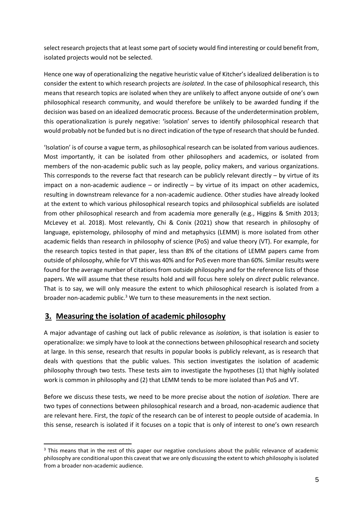select research projects that at least some part of society would find interesting or could benefit from, isolated projects would not be selected.

Hence one way of operationalizing the negative heuristic value of Kitcher's idealized deliberation is to consider the extent to which research projects are *isolated*. In the case of philosophical research, this means that research topics are isolated when they are unlikely to affect anyone outside of one's own philosophical research community, and would therefore be unlikely to be awarded funding if the decision was based on an idealized democratic process. Because of the underdetermination problem, this operationalization is purely negative: 'isolation' serves to identify philosophical research that would probably not be funded but is no direct indication of the type of research that should be funded.

'Isolation' is of course a vague term, as philosophical research can be isolated from various audiences. Most importantly, it can be isolated from other philosophers and academics, or isolated from members of the non-academic public such as lay people, policy makers, and various organizations. This corresponds to the reverse fact that research can be publicly relevant directly  $-$  by virtue of its impact on a non-academic audience  $-$  or indirectly  $-$  by virtue of its impact on other academics, resulting in downstream relevance for a non-academic audience. Other studies have already looked at the extent to which various philosophical research topics and philosophical subfields are isolated from other philosophical research and from academia more generally (e.g., Higgins & Smith 2013; McLevey et al. 2018). Most relevantly, Chi & Conix (2021) show that research in philosophy of language, epistemology, philosophy of mind and metaphysics (LEMM) is more isolated from other academic fields than research in philosophy of science (PoS) and value theory (VT). For example, for the research topics tested in that paper, less than 8% of the citations of LEMM papers came from outside of philosophy, while for VT this was 40% and for PoS even more than 60%. Similar results were found for the average number of citations from outside philosophy and for the reference lists of those papers. We will assume that these results hold and will focus here solely on *direct* public relevance. That is to say, we will only measure the extent to which philosophical research is isolated from a broader non-academic public.<sup>3</sup> We turn to these measurements in the next section.

## **3. Measuring the isolation of academic philosophy**

A major advantage of cashing out lack of public relevance as *isolation*, is that isolation is easier to operationalize: we simply have to look at the connections between philosophical research and society at large. In this sense, research that results in popular books is publicly relevant, as is research that deals with questions that the public values. This section investigates the isolation of academic philosophy through two tests. These tests aim to investigate the hypotheses (1) that highly isolated work is common in philosophy and (2) that LEMM tends to be more isolated than PoS and VT.

Before we discuss these tests, we need to be more precise about the notion of *isolation*. There are two types of connections between philosophical research and a broad, non-academic audience that are relevant here. First, the *topic* of the research can be of interest to people outside of academia. In this sense, research is isolated if it focuses on a topic that is only of interest to one's own research

<sup>&</sup>lt;sup>3</sup> This means that in the rest of this paper our negative conclusions about the public relevance of academic philosophy are conditional upon this caveat that we are only discussing the extent to which philosophy is isolated from a broader non-academic audience.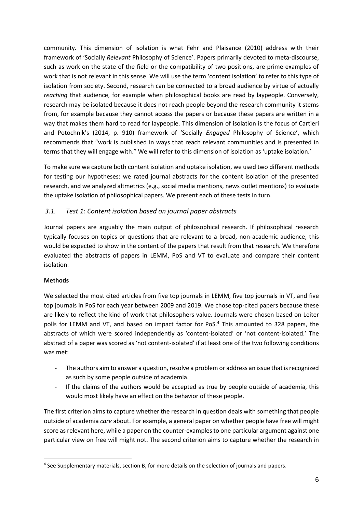community. This dimension of isolation is what Fehr and Plaisance (2010) address with their framework of 'Socially *Relevant* Philosophy of Science'. Papers primarily devoted to meta-discourse, such as work on the state of the field or the compatibility of two positions, are prime examples of work that is not relevant in this sense. We will use the term 'content isolation' to refer to this type of isolation from society. Second, research can be connected to a broad audience by virtue of actually *reaching* that audience, for example when philosophical books are read by laypeople. Conversely, research may be isolated because it does not reach people beyond the research community it stems from, for example because they cannot access the papers or because these papers are written in a way that makes them hard to read for laypeople. This dimension of isolation is the focus of Cartieri and Potochnik's (2014, p. 910) framework of 'Socially *Engaged* Philosophy of Science', which recommends that "work is published in ways that reach relevant communities and is presented in terms that they will engage with." We will refer to this dimension of isolation as 'uptake isolation.'

To make sure we capture both content isolation and uptake isolation, we used two different methods for testing our hypotheses: we rated journal abstracts for the content isolation of the presented research, and we analyzed altmetrics (e.g., social media mentions, news outlet mentions) to evaluate the uptake isolation of philosophical papers. We present each of these tests in turn.

## *3.1. Test 1: Content isolation based on journal paper abstracts*

Journal papers are arguably the main output of philosophical research. If philosophical research typically focuses on topics or questions that are relevant to a broad, non-academic audience, this would be expected to show in the content of the papers that result from that research. We therefore evaluated the abstracts of papers in LEMM, PoS and VT to evaluate and compare their content isolation.

#### **Methods**

We selected the most cited articles from five top journals in LEMM, five top journals in VT, and five top journals in PoS for each year between 2009 and 2019. We chose top-cited papers because these are likely to reflect the kind of work that philosophers value. Journals were chosen based on Leiter polls for LEMM and VT, and based on impact factor for PoS.<sup>4</sup> This amounted to 328 papers, the abstracts of which were scored independently as 'content-isolated' or 'not content-isolated.' The abstract of a paper was scored as 'not content-isolated' if at least one of the two following conditions was met:

- The authors aim to answer a question, resolve a problem or address an issue that is recognized as such by some people outside of academia.
- If the claims of the authors would be accepted as true by people outside of academia, this would most likely have an effect on the behavior of these people.

The first criterion aims to capture whether the research in question deals with something that people outside of academia *care* about. For example, a general paper on whether people have free will might score as relevant here, while a paper on the counter-examples to one particular argument against one particular view on free will might not. The second criterion aims to capture whether the research in

<sup>4</sup> See Supplementary materials, section B, for more details on the selection of journals and papers.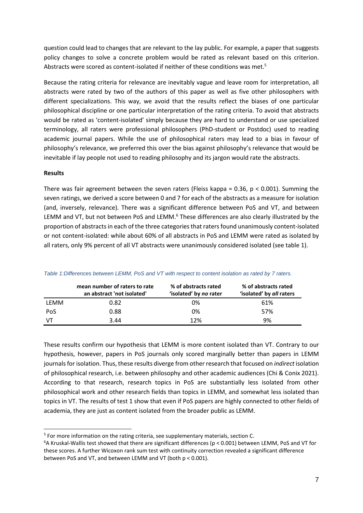question could lead to changes that are relevant to the lay public. For example, a paper that suggests policy changes to solve a concrete problem would be rated as relevant based on this criterion. Abstracts were scored as content-isolated if neither of these conditions was met.<sup>5</sup>

Because the rating criteria for relevance are inevitably vague and leave room for interpretation, all abstracts were rated by two of the authors of this paper as well as five other philosophers with different specializations. This way, we avoid that the results reflect the biases of one particular philosophical discipline or one particular interpretation of the rating criteria. To avoid that abstracts would be rated as 'content-isolated' simply because they are hard to understand or use specialized terminology, all raters were professional philosophers (PhD-student or Postdoc) used to reading academic journal papers. While the use of philosophical raters may lead to a bias in favour of philosophy's relevance, we preferred this over the bias against philosophy's relevance that would be inevitable if lay people not used to reading philosophy and its jargon would rate the abstracts.

#### **Results**

There was fair agreement between the seven raters (Fleiss kappa =  $0.36$ ,  $p < 0.001$ ). Summing the seven ratings, we derived a score between 0 and 7 for each of the abstracts as a measure for isolation (and, inversely, relevance). There was a significant difference between PoS and VT, and between LEMM and VT, but not between PoS and LEMM.<sup>6</sup> These differences are also clearly illustrated by the proportion of abstracts in each of the three categories that raters found unanimously content-isolated or not content-isolated: while about 60% of all abstracts in PoS and LEMM were rated as isolated by all raters, only 9% percent of all VT abstracts were unanimously considered isolated (see table 1).

|      | mean number of raters to rate<br>an abstract 'not isolated' | % of abstracts rated<br>'isolated' by no rater | % of abstracts rated<br>'isolated' by all raters |
|------|-------------------------------------------------------------|------------------------------------------------|--------------------------------------------------|
| LEMM | 0.82                                                        | 0%                                             | 61%                                              |
| PoS  | 0.88                                                        | 0%                                             | 57%                                              |
| VТ   | 3.44                                                        | 12%                                            | 9%                                               |

*Table 1:Differences between LEMM, PoS and VT with respect to content isolation as rated by 7 raters.*

These results confirm our hypothesis that LEMM is more content isolated than VT. Contrary to our hypothesis, however, papers in PoS journals only scored marginally better than papers in LEMM journals for isolation. Thus, these results diverge from other research that focused on *indirect* isolation of philosophical research, i.e. between philosophy and other academic audiences (Chi & Conix 2021). According to that research, research topics in PoS are substantially less isolated from other philosophical work and other research fields than topics in LEMM, and somewhat less isolated than topics in VT. The results of test 1 show that even if PoS papers are highly connected to other fields of academia, they are just as content isolated from the broader public as LEMM.

<sup>&</sup>lt;sup>5</sup> For more information on the rating criteria, see supplementary materials, section C.

<sup>6</sup>A Kruskal-Wallis test showed that there are significant differences (p < 0.001) between LEMM, PoS and VT for these scores. A further Wicoxon rank sum test with continuity correction revealed a significant difference between PoS and VT, and between LEMM and VT (both p < 0.001).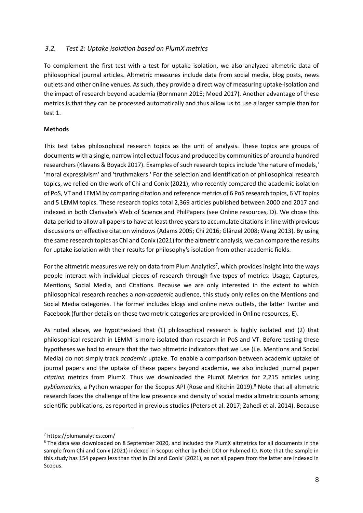#### *3.2. Test 2: Uptake isolation based on PlumX metrics*

To complement the first test with a test for uptake isolation, we also analyzed altmetric data of philosophical journal articles. Altmetric measures include data from social media, blog posts, news outlets and other online venues. As such, they provide a direct way of measuring uptake-isolation and the impact of research beyond academia (Bornmann 2015; Moed 2017). Another advantage of these metrics is that they can be processed automatically and thus allow us to use a larger sample than for test 1.

#### **Methods**

This test takes philosophical research topics as the unit of analysis. These topics are groups of documents with a single, narrow intellectual focus and produced by communities of around a hundred researchers (Klavans & Boyack 2017). Examples of such research topics include 'the nature of models,' 'moral expressivism' and 'truthmakers.' For the selection and identification of philosophical research topics, we relied on the work of Chi and Conix (2021), who recently compared the academic isolation of PoS, VT and LEMM by comparing citation and reference metrics of 6 PoS research topics, 6 VT topics and 5 LEMM topics. These research topics total 2,369 articles published between 2000 and 2017 and indexed in both Clarivate's Web of Science and PhilPapers (see Online resources, D). We chose this data period to allow all papers to have at least three years to accumulate citations in line with previous discussions on effective citation windows (Adams 2005; Chi 2016; Glänzel 2008; Wang 2013). By using the same research topics as Chi and Conix (2021) for the altmetric analysis, we can compare the results for uptake isolation with their results for philosophy's isolation from other academic fields.

For the altmetric measures we rely on data from Plum Analytics<sup>7</sup>, which provides insight into the ways people interact with individual pieces of research through five types of metrics: Usage, Captures, Mentions, Social Media, and Citations. Because we are only interested in the extent to which philosophical research reaches a *non-academic* audience, this study only relies on the Mentions and Social Media categories. The former includes blogs and online news outlets, the latter Twitter and Facebook (further details on these two metric categories are provided in Online resources, E).

As noted above, we hypothesized that (1) philosophical research is highly isolated and (2) that philosophical research in LEMM is more isolated than research in PoS and VT. Before testing these hypotheses we had to ensure that the two altmetric indicators that we use (i.e. Mentions and Social Media) do not simply track *academic* uptake. To enable a comparison between academic uptake of journal papers and the uptake of these papers beyond academia, we also included journal paper *citation* metrics from PlumX. Thus we downloaded the PlumX Metrics for 2,215 articles using *pybliometrics,* a Python wrapper for the Scopus API (Rose and Kitchin 2019).<sup>8</sup> Note that all altmetric research faces the challenge of the low presence and density of social media altmetric counts among scientific publications, as reported in previous studies (Peters et al. 2017; Zahedi et al. 2014). Because

<sup>7</sup> https://plumanalytics.com/

<sup>8</sup> The data was downloaded on 8 September 2020, and included the PlumX altmetrics for all documents in the sample from Chi and Conix (2021) indexed in Scopus either by their DOI or Pubmed ID. Note that the sample in this study has 154 papers less than that in Chi and Conix' (2021), as not all papers from the latter are indexed in Scopus.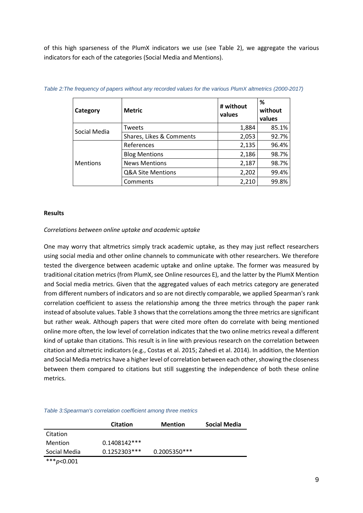of this high sparseness of the PlumX indicators we use (see Table 2), we aggregate the various indicators for each of the categories (Social Media and Mentions).

| Category        | <b>Metric</b>            | # without<br>values | %<br>without<br>values |
|-----------------|--------------------------|---------------------|------------------------|
| Social Media    | Tweets                   | 1,884               | 85.1%                  |
|                 | Shares, Likes & Comments | 2,053               | 92.7%                  |
|                 | References               | 2,135               | 96.4%                  |
|                 | <b>Blog Mentions</b>     | 2,186               | 98.7%                  |
| <b>Mentions</b> | <b>News Mentions</b>     | 2,187               | 98.7%                  |
|                 | Q&A Site Mentions        | 2,202               | 99.4%                  |
|                 | Comments                 | 2,210               | 99.8%                  |

| Table 2: The frequency of papers without any recorded values for the various PlumX altmetrics (2000-2017) |  |  |
|-----------------------------------------------------------------------------------------------------------|--|--|
|-----------------------------------------------------------------------------------------------------------|--|--|

#### **Results**

#### *Correlations between online uptake and academic uptake*

One may worry that altmetrics simply track academic uptake, as they may just reflect researchers using social media and other online channels to communicate with other researchers. We therefore tested the divergence between academic uptake and online uptake. The former was measured by traditional citation metrics (from PlumX, see Online resources E), and the latter by the PlumX Mention and Social media metrics. Given that the aggregated values of each metrics category are generated from different numbers of indicators and so are not directly comparable, we applied Spearman's rank correlation coefficient to assess the relationship among the three metrics through the paper rank instead of absolute values. Table 3 shows that the correlations among the three metrics are significant but rather weak. Although papers that were cited more often do correlate with being mentioned online more often, the low level of correlation indicates that the two online metrics reveal a different kind of uptake than citations. This result is in line with previous research on the correlation between citation and altmetric indicators (e.g., Costas et al. 2015; Zahedi et al. 2014). In addition, the Mention and Social Media metrics have a higher level of correlation between each other, showing the closeness between them compared to citations but still suggesting the independence of both these online metrics.

#### *Table 3:Spearman's correlation coefficient among three metrics*

|               | <b>Citation</b> | <b>Mention</b> | Social Media |
|---------------|-----------------|----------------|--------------|
| Citation      |                 |                |              |
| Mention       | $0.1408142***$  |                |              |
| Social Media  | $0.1252303***$  | 0.2005350***   |              |
| *** $p<0.001$ |                 |                |              |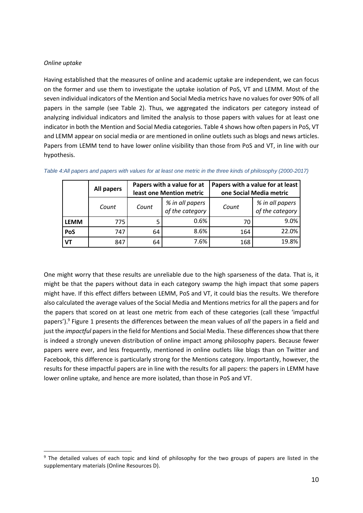#### *Online uptake*

Having established that the measures of online and academic uptake are independent, we can focus on the former and use them to investigate the uptake isolation of PoS, VT and LEMM. Most of the seven individual indicators of the Mention and Social Media metrics have no values for over 90% of all papers in the sample (see Table 2). Thus, we aggregated the indicators per category instead of analyzing individual indicators and limited the analysis to those papers with values for at least one indicator in both the Mention and Social Media categories. Table 4 shows how often papers in PoS, VT and LEMM appear on social media or are mentioned in online outlets such as blogs and news articles. Papers from LEMM tend to have lower online visibility than those from PoS and VT, in line with our hypothesis.

|             | <b>All papers</b> | Papers with a value for at<br>least one Mention metric |                                    | Papers with a value for at least<br>one Social Media metric |                                    |
|-------------|-------------------|--------------------------------------------------------|------------------------------------|-------------------------------------------------------------|------------------------------------|
|             | Count             | Count                                                  | % in all papers<br>of the category | Count                                                       | % in all papers<br>of the category |
| <b>LEMM</b> | 775               |                                                        | 0.6%                               | 70                                                          | 9.0%                               |
| PoS         | 747               | 64                                                     | 8.6%                               | 164                                                         | 22.0%                              |
| <b>VT</b>   | 847               | 64                                                     | 7.6%                               | 168                                                         | 19.8%                              |

|  | Table 4:All papers and papers with values for at least one metric in the three kinds of philosophy (2000-2017) |
|--|----------------------------------------------------------------------------------------------------------------|

One might worry that these results are unreliable due to the high sparseness of the data. That is, it might be that the papers without data in each category swamp the high impact that some papers might have. If this effect differs between LEMM, PoS and VT, it could bias the results. We therefore also calculated the average values of the Social Media and Mentions metrics for all the papers and for the papers that scored on at least one metric from each of these categories (call these 'impactful papers').<sup>9</sup> Figure 1 presents the differences between the mean values of *all* the papers in a field and just the *impactful* papers in the field for Mentions and Social Media. These differences show that there is indeed a strongly uneven distribution of online impact among philosophy papers. Because fewer papers were ever, and less frequently, mentioned in online outlets like blogs than on Twitter and Facebook, this difference is particularly strong for the Mentions category. Importantly, however, the results for these impactful papers are in line with the results for all papers: the papers in LEMM have lower online uptake, and hence are more isolated, than those in PoS and VT.

<sup>&</sup>lt;sup>9</sup> The detailed values of each topic and kind of philosophy for the two groups of papers are listed in the supplementary materials (Online Resources D).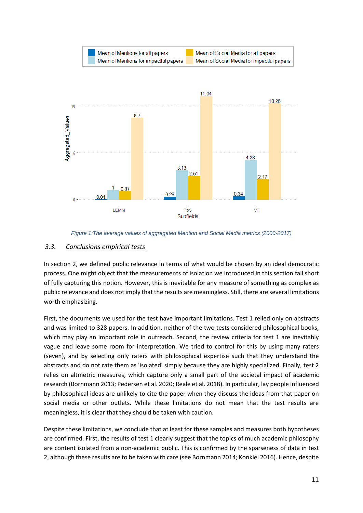



#### *3.3. Conclusions empirical tests*

In section 2, we defined public relevance in terms of what would be chosen by an ideal democratic process. One might object that the measurements of isolation we introduced in this section fall short of fully capturing this notion. However, this is inevitable for any measure of something as complex as public relevance and does not imply that the results are meaningless. Still, there are several limitations worth emphasizing.

First, the documents we used for the test have important limitations. Test 1 relied only on abstracts and was limited to 328 papers. In addition, neither of the two tests considered philosophical books, which may play an important role in outreach. Second, the review criteria for test 1 are inevitably vague and leave some room for interpretation. We tried to control for this by using many raters (seven), and by selecting only raters with philosophical expertise such that they understand the abstracts and do not rate them as 'isolated' simply because they are highly specialized. Finally, test 2 relies on altmetric measures, which capture only a small part of the societal impact of academic research (Bornmann 2013; Pedersen et al. 2020; Reale et al. 2018). In particular, lay people influenced by philosophical ideas are unlikely to cite the paper when they discuss the ideas from that paper on social media or other outlets. While these limitations do not mean that the test results are meaningless, it is clear that they should be taken with caution.

Despite these limitations, we conclude that at least for these samples and measures both hypotheses are confirmed. First, the results of test 1 clearly suggest that the topics of much academic philosophy are content isolated from a non-academic public. This is confirmed by the sparseness of data in test 2, although these results are to be taken with care (see Bornmann 2014; Konkiel 2016). Hence, despite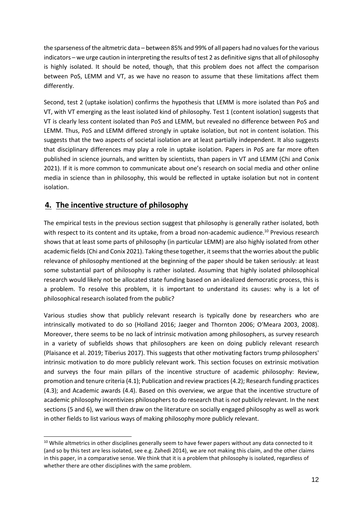the sparseness of the altmetric data – between 85% and 99% of all papers had no values for the various indicators – we urge caution in interpreting the results of test 2 as definitive signs that all of philosophy is highly isolated. It should be noted, though, that this problem does not affect the comparison between PoS, LEMM and VT, as we have no reason to assume that these limitations affect them differently.

Second, test 2 (uptake isolation) confirms the hypothesis that LEMM is more isolated than PoS and VT, with VT emerging as the least isolated kind of philosophy. Test 1 (content isolation) suggests that VT is clearly less content isolated than PoS and LEMM, but revealed no difference between PoS and LEMM. Thus, PoS and LEMM differed strongly in uptake isolation, but not in content isolation. This suggests that the two aspects of societal isolation are at least partially independent. It also suggests that disciplinary differences may play a role in uptake isolation. Papers in PoS are far more often published in science journals, and written by scientists, than papers in VT and LEMM (Chi and Conix 2021). If it is more common to communicate about one's research on social media and other online media in science than in philosophy, this would be reflected in uptake isolation but not in content isolation.

# **4. The incentive structure of philosophy**

The empirical tests in the previous section suggest that philosophy is generally rather isolated, both with respect to its content and its uptake, from a broad non-academic audience.<sup>10</sup> Previous research shows that at least some parts of philosophy (in particular LEMM) are also highly isolated from other academic fields (Chi and Conix 2021). Taking these together, it seems that the worries about the public relevance of philosophy mentioned at the beginning of the paper should be taken seriously: at least some substantial part of philosophy is rather isolated. Assuming that highly isolated philosophical research would likely not be allocated state funding based on an idealized democratic process, this is a problem. To resolve this problem, it is important to understand its causes: why is a lot of philosophical research isolated from the public?

Various studies show that publicly relevant research is typically done by researchers who are intrinsically motivated to do so (Holland 2016; Jaeger and Thornton 2006; O'Meara 2003, 2008). Moreover, there seems to be no lack of intrinsic motivation among philosophers, as survey research in a variety of subfields shows that philosophers are keen on doing publicly relevant research (Plaisance et al. 2019; Tiberius 2017). This suggests that other motivating factors trump philosophers' intrinsic motivation to do more publicly relevant work. This section focuses on extrinsic motivation and surveys the four main pillars of the incentive structure of academic philosophy: Review, promotion and tenure criteria (4.1); Publication and review practices (4.2); Research funding practices (4.3); and Academic awards (4.4). Based on this overview, we argue that the incentive structure of academic philosophy incentivizes philosophers to do research that is *not* publicly relevant. In the next sections (5 and 6), we will then draw on the literature on socially engaged philosophy as well as work in other fields to list various ways of making philosophy more publicly relevant.

<sup>&</sup>lt;sup>10</sup> While altmetrics in other disciplines generally seem to have fewer papers without any data connected to it (and so by this test are less isolated, see e.g. Zahedi 2014), we are not making this claim, and the other claims in this paper, in a comparative sense. We think that it is a problem that philosophy is isolated, regardless of whether there are other disciplines with the same problem.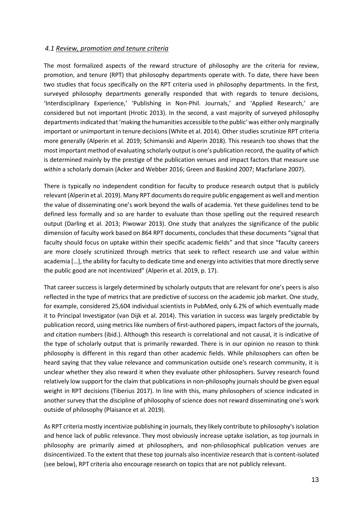#### *4.1 Review, promotion and tenure criteria*

The most formalized aspects of the reward structure of philosophy are the criteria for review, promotion, and tenure (RPT) that philosophy departments operate with. To date, there have been two studies that focus specifically on the RPT criteria used in philosophy departments. In the first, surveyed philosophy departments generally responded that with regards to tenure decisions, 'Interdisciplinary Experience,' 'Publishing in Non-Phil. Journals,' and 'Applied Research,' are considered but not important (Hrotic 2013). In the second, a vast majority of surveyed philosophy departments indicated that 'making the humanities accessible to the public' was either only marginally important or unimportant in tenure decisions (White et al. 2014). Other studies scrutinize RPT criteria more generally (Alperin et al. 2019; Schimanski and Alperin 2018). This research too shows that the most important method of evaluating scholarly output is one's publication record, the quality of which is determined mainly by the prestige of the publication venues and impact factors that measure use *within* a scholarly domain (Acker and Webber 2016; Green and Baskind 2007; Macfarlane 2007).

There is typically no independent condition for faculty to produce research output that is publicly relevant (Alperin et al. 2019). Many RPT documents do require public engagement as well and mention the value of disseminating one's work beyond the walls of academia. Yet these guidelines tend to be defined less formally and so are harder to evaluate than those spelling out the required research output (Darling et al. 2013; Piwowar 2013). One study that analyzes the significance of the public dimension of faculty work based on 864 RPT documents, concludes that these documents "signal that faculty should focus on uptake within their specific academic fields" and that since "faculty careers are more closely scrutinized through metrics that seek to reflect research use and value within academia […], the ability for faculty to dedicate time and energy into activities that more directly serve the public good are not incentivized" (Alperin et al. 2019, p. 17).

That career success is largely determined by scholarly outputs that are relevant for one's peers is also reflected in the type of metrics that are predictive of success on the academic job market. One study, for example, considered 25,604 individual scientists in PubMed, only 6.2% of which eventually made it to Principal Investigator (van Dijk et al. 2014). This variation in success was largely predictable by publication record, using metrics like numbers of first-authored papers, impact factors of the journals, and citation numbers (ibid.). Although this research is correlational and not causal, it is indicative of the type of scholarly output that is primarily rewarded. There is in our opinion no reason to think philosophy is different in this regard than other academic fields. While philosophers can often be heard saying that they value relevance and communication outside one's research community, it is unclear whether they also reward it when they evaluate other philosophers. Survey research found relatively low support for the claim that publications in non-philosophy journals should be given equal weight in RPT decisions (Tiberius 2017). In line with this, many philosophers of science indicated in another survey that the discipline of philosophy of science does not reward disseminating one's work outside of philosophy (Plaisance et al. 2019).

As RPT criteria mostly incentivize publishing in journals, they likely contribute to philosophy's isolation and hence lack of public relevance. They most obviously increase uptake isolation, as top journals in philosophy are primarily aimed at philosophers, and non-philosophical publication venues are disincentivized. To the extent that these top journals also incentivize research that is content-isolated (see below), RPT criteria also encourage research on topics that are not publicly relevant.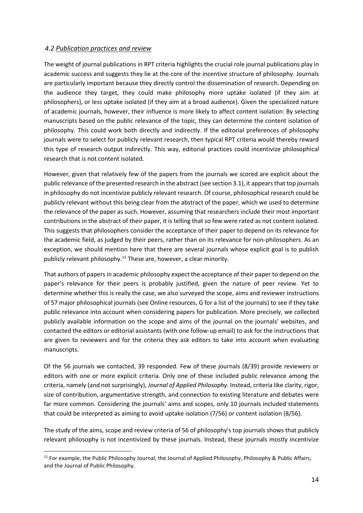#### *4.2 Publication practices and review*

The weight of journal publications in RPT criteria highlights the crucial role journal publications play in academic success and suggests they lie at the core of the incentive structure of philosophy. Journals are particularly important because they directly control the dissemination of research. Depending on the audience they target, they could make philosophy more uptake isolated (if they aim at philosophers), or less uptake isolated (if they aim at a broad audience). Given the specialized nature of academic journals, however, their influence is more likely to affect content isolation: By selecting manuscripts based on the public relevance of the topic, they can determine the content isolation of philosophy. This could work both directly and indirectly. If the editorial preferences of philosophy journals were to select for publicly relevant research, then typical RPT criteria would thereby reward this type of research output indirectly. This way, editorial practices could incentivize philosophical research that is not content isolated.

However, given that relatively few of the papers from the journals we scored are explicit about the public relevance of the presented research in the abstract (see section 3.1), it appears that top journals in philosophy do not incentivize publicly relevant research. Of course, philosophical research could be publicly relevant without this being clear from the abstract of the paper, which we used to determine the relevance of the paper as such. However, assuming that researchers include their most important contributions in the abstract of their paper, it is telling that so few were rated as not content isolated. This suggests that philosophers consider the acceptance of their paper to depend on its relevance for the academic field, as judged by their peers, rather than on its relevance for non-philosophers. As an exception, we should mention here that there are several journals whose explicit goal is to publish publicly relevant philosophy.<sup>11</sup> These are, however, a clear minority.

That authors of papers in academic philosophy expect the acceptance of their paper to depend on the paper's relevance for their peers is probably justified, given the nature of peer review. Yet to determine whether this is really the case, we also surveyed the scope, aims and reviewer instructions of 57 major philosophical journals (see Online resources, G for a list of the journals) to see if they take public relevance into account when considering papers for publication. More precisely, we collected publicly available information on the scope and aims of the journal on the journals' websites, and contacted the editors or editorial assistants (with one follow-up email) to ask for the instructions that are given to reviewers and for the criteria they ask editors to take into account when evaluating manuscripts.

Of the 56 journals we contacted, 39 responded. Few of these journals (8/39) provide reviewers or editors with one or more explicit criteria. Only one of these included public relevance among the criteria, namely (and not surprisingly), *Journal of Applied Philosophy*. Instead, criteria like clarity, rigor, size of contribution, argumentative strength, and connection to existing literature and debates were far more common. Considering the journals' aims and scopes, only 10 journals included statements that could be interpreted as aiming to avoid uptake isolation (7/56) or content isolation (8/56).

The study of the aims, scope and review criteria of 56 of philosophy's top journals shows that publicly relevant philosophy is not incentivized by these journals. Instead, these journals mostly incentivize

 $11$  For example, the Public Philosophy Journal, the Journal of Applied Philosophy, Philosophy & Public Affairs, and the Journal of Public Philosophy.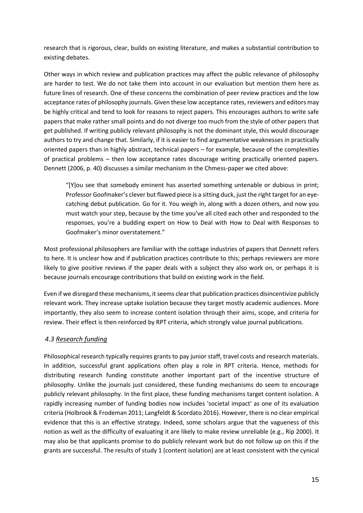research that is rigorous, clear, builds on existing literature, and makes a substantial contribution to existing debates.

Other ways in which review and publication practices may affect the public relevance of philosophy are harder to test. We do not take them into account in our evaluation but mention them here as future lines of research. One of these concerns the combination of peer review practices and the low acceptance rates of philosophy journals. Given these low acceptance rates, reviewers and editors may be highly critical and tend to look for reasons to reject papers. This encourages authors to write safe papers that make rather small points and do not diverge too much from the style of other papers that get published. If writing publicly relevant philosophy is not the dominant style, this would discourage authors to try and change that. Similarly, if it is easier to find argumentative weaknesses in practically oriented papers than in highly abstract, technical papers – for example, because of the complexities of practical problems – then low acceptance rates discourage writing practically oriented papers. Dennett (2006, p. 40) discusses a similar mechanism in the Chmess-paper we cited above:

"[Y]ou see that somebody eminent has asserted something untenable or dubious in print; Professor Goofmaker's clever but flawed piece is a sitting duck, just the right target for an eyecatching debut publication. Go for it. You weigh in, along with a dozen others, and now you must watch your step, because by the time you've all cited each other and responded to the responses, you're a budding expert on How to Deal with How to Deal with Responses to Goofmaker's minor overstatement."

Most professional philosophers are familiar with the cottage industries of papers that Dennett refers to here. It is unclear how and if publication practices contribute to this; perhaps reviewers are more likely to give positive reviews if the paper deals with a subject they also work on, or perhaps it is because journals encourage contributions that build on existing work in the field.

Even if we disregard these mechanisms, it seems clear that publication practices disincentivize publicly relevant work. They increase uptake isolation because they target mostly academic audiences. More importantly, they also seem to increase content isolation through their aims, scope, and criteria for review. Their effect is then reinforced by RPT criteria, which strongly value journal publications.

## *4.3 Research funding*

Philosophical research typically requires grants to pay junior staff, travel costs and research materials. In addition, successful grant applications often play a role in RPT criteria. Hence, methods for distributing research funding constitute another important part of the incentive structure of philosophy. Unlike the journals just considered, these funding mechanisms do seem to encourage publicly relevant philosophy. In the first place, these funding mechanisms target content isolation. A rapidly increasing number of funding bodies now includes 'societal impact' as one of its evaluation criteria (Holbrook & Frodeman 2011; Langfeldt & Scordato 2016). However, there is no clear empirical evidence that this is an effective strategy. Indeed, some scholars argue that the vagueness of this notion as well as the difficulty of evaluating it are likely to make review unreliable (e.g., Rip 2000). It may also be that applicants promise to do publicly relevant work but do not follow up on this if the grants are successful. The results of study 1 (content isolation) are at least consistent with the cynical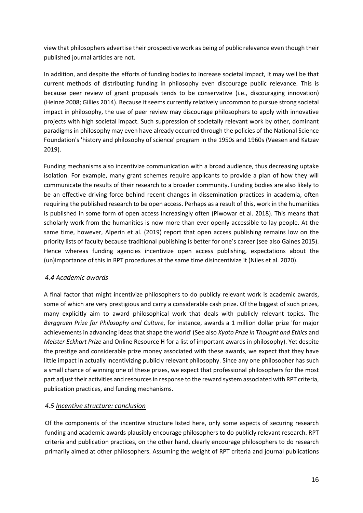view that philosophers advertise their prospective work as being of public relevance even though their published journal articles are not.

In addition, and despite the efforts of funding bodies to increase societal impact, it may well be that current methods of distributing funding in philosophy even discourage public relevance. This is because peer review of grant proposals tends to be conservative (i.e., discouraging innovation) (Heinze 2008; Gillies 2014). Because it seems currently relatively uncommon to pursue strong societal impact in philosophy, the use of peer review may discourage philosophers to apply with innovative projects with high societal impact. Such suppression of societally relevant work by other, dominant paradigms in philosophy may even have already occurred through the policies of the National Science Foundation's 'history and philosophy of science' program in the 1950s and 1960s (Vaesen and Katzav 2019).

Funding mechanisms also incentivize communication with a broad audience, thus decreasing uptake isolation. For example, many grant schemes require applicants to provide a plan of how they will communicate the results of their research to a broader community. Funding bodies are also likely to be an effective driving force behind recent changes in dissemination practices in academia, often requiring the published research to be open access. Perhaps as a result of this, work in the humanities is published in some form of open access increasingly often (Piwowar et al. 2018). This means that scholarly work from the humanities is now more than ever openly accessible to lay people. At the same time, however, Alperin et al. (2019) report that open access publishing remains low on the priority lists of faculty because traditional publishing is better for one's career (see also Gaines 2015). Hence whereas funding agencies incentivize open access publishing, expectations about the (un)importance of this in RPT procedures at the same time disincentivize it (Niles et al. 2020).

## *4.4 Academic awards*

A final factor that might incentivize philosophers to do publicly relevant work is academic awards, some of which are very prestigious and carry a considerable cash prize. Of the biggest of such prizes, many explicitly aim to award philosophical work that deals with publicly relevant topics. The *Berggruen Prize for Philosophy and Culture*, for instance, awards a 1 million dollar prize 'for major achievements in advancing ideas that shape the world' (See also *Kyoto Prize in Thought and Ethics* and *Meister Eckhart Prize* and Online Resource H for a list of important awards in philosophy). Yet despite the prestige and considerable prize money associated with these awards, we expect that they have little impact in actually incentivizing publicly relevant philosophy. Since any one philosopher has such a small chance of winning one of these prizes, we expect that professional philosophers for the most part adjust their activities and resources in response to the reward system associated with RPT criteria, publication practices, and funding mechanisms.

#### *4.5 Incentive structure: conclusion*

Of the components of the incentive structure listed here, only some aspects of securing research funding and academic awards plausibly encourage philosophers to do publicly relevant research. RPT criteria and publication practices, on the other hand, clearly encourage philosophers to do research primarily aimed at other philosophers. Assuming the weight of RPT criteria and journal publications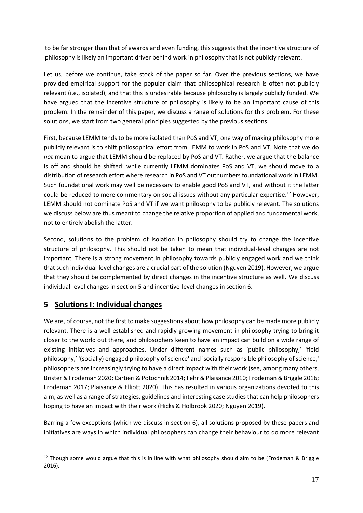to be far stronger than that of awards and even funding, this suggests that the incentive structure of philosophy is likely an important driver behind work in philosophy that is not publicly relevant.

Let us, before we continue, take stock of the paper so far. Over the previous sections, we have provided empirical support for the popular claim that philosophical research is often not publicly relevant (i.e., isolated), and that this is undesirable because philosophy is largely publicly funded. We have argued that the incentive structure of philosophy is likely to be an important cause of this problem. In the remainder of this paper, we discuss a range of solutions for this problem. For these solutions, we start from two general principles suggested by the previous sections.

First, because LEMM tends to be more isolated than PoS and VT, one way of making philosophy more publicly relevant is to shift philosophical effort from LEMM to work in PoS and VT. Note that we do *not* mean to argue that LEMM should be replaced by PoS and VT. Rather, we argue that the balance is off and should be shifted: while currently LEMM dominates PoS and VT, we should move to a distribution of research effort where research in PoS and VT outnumbers foundational work in LEMM. Such foundational work may well be necessary to enable good PoS and VT, and without it the latter could be reduced to mere commentary on social issues without any particular expertise.<sup>12</sup> However, LEMM should not dominate PoS and VT if we want philosophy to be publicly relevant. The solutions we discuss below are thus meant to change the relative proportion of applied and fundamental work, not to entirely abolish the latter.

Second, solutions to the problem of isolation in philosophy should try to change the incentive structure of philosophy. This should not be taken to mean that individual-level changes are not important. There is a strong movement in philosophy towards publicly engaged work and we think that such individual-level changes are a crucial part of the solution (Nguyen 2019). However, we argue that they should be complemented by direct changes in the incentive structure as well. We discuss individual-level changes in section 5 and incentive-level changes in section 6.

# **5 Solutions I: Individual changes**

We are, of course, not the first to make suggestions about how philosophy can be made more publicly relevant. There is a well-established and rapidly growing movement in philosophy trying to bring it closer to the world out there, and philosophers keen to have an impact can build on a wide range of existing initiatives and approaches. Under different names such as 'public philosophy,' 'field philosophy,' '(socially) engaged philosophy of science' and 'socially responsible philosophy of science,' philosophers are increasingly trying to have a direct impact with their work (see, among many others, Brister & Frodeman 2020; Cartieri & Potochnik 2014; Fehr & Plaisance 2010; Frodeman & Briggle 2016; Frodeman 2017; Plaisance & Elliott 2020). This has resulted in various organizations devoted to this aim, as well as a range of strategies, guidelines and interesting case studies that can help philosophers hoping to have an impact with their work (Hicks & Holbrook 2020; Nguyen 2019).

Barring a few exceptions (which we discuss in section 6), all solutions proposed by these papers and initiatives are ways in which individual philosophers can change their behaviour to do more relevant

 $12$  Though some would argue that this is in line with what philosophy should aim to be (Frodeman & Briggle 2016).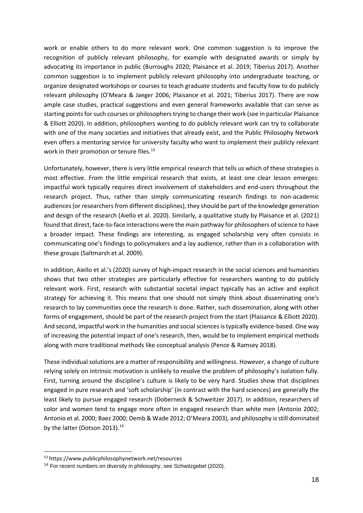work or enable others to do more relevant work. One common suggestion is to improve the recognition of publicly relevant philosophy, for example with designated awards or simply by advocating its importance in public (Burroughs 2020; Plaisance et al. 2019; Tiberius 2017). Another common suggestion is to implement publicly relevant philosophy into undergraduate teaching, or organize designated workshops or courses to teach graduate students and faculty how to do publicly relevant philosophy (O'Meara & Jaeger 2006; Plaisance et al. 2021; Tiberius 2017). There are now ample case studies, practical suggestions and even general frameworks available that can serve as starting points for such courses or philosophers trying to change their work (see in particular Plaisance & Elliott 2020). In addition, philosophers wanting to do publicly relevant work can try to collaborate with one of the many societies and initiatives that already exist, and the Public Philosophy Network even offers a mentoring service for university faculty who want to implement their publicly relevant work in their promotion or tenure files.<sup>13</sup>

Unfortunately, however, there is very little empirical research that tells us which of these strategies is most effective. From the little empirical research that exists, at least one clear lesson emerges: impactful work typically requires direct involvement of stakeholders and end-users throughout the research project. Thus, rather than simply communicating research findings to non-academic audiences (or researchers from different disciplines), they should be part of the knowledge generation and design of the research (Aiello et al. 2020). Similarly, a qualitative study by Plaisance et al. (2021) found that direct, face-to-face interactions were the main pathway for philosophers of science to have a broader impact. These findings are interesting, as engaged scholarship very often consists in communicating one's findings to policymakers and a lay audience, rather than in a collaboration with these groups (Saltmarsh et al. 2009).

In addition, Aiello et al.'s (2020) survey of high-impact research in the social sciences and humanities shows that two other strategies are particularly effective for researchers wanting to do publicly relevant work. First, research with substantial societal impact typically has an active and explicit strategy for achieving it. This means that one should not simply think about disseminating one's research to lay communities once the research is done. Rather, such dissemination, along with other forms of engagement, should be part of the research project from the start (Plaisance & Elliott 2020). And second, impactful work in the humanities and social sciences is typically evidence-based. One way of increasing the potential impact of one's research, then, would be to implement empirical methods along with more traditional methods like conceptual analysis (Pence & Ramsey 2018).

These individual solutions are a matter of responsibility and willingness. However, a change of culture relying solely on intrinsic motivation is unlikely to resolve the problem of philosophy's isolation fully. First, turning around the discipline's culture is likely to be very hard. Studies show that disciplines engaged in pure research and 'soft scholarship' (in contrast with the hard sciences) are generally the least likely to pursue engaged research (Doberneck & Schweitzer 2017). In addition, researchers of color and women tend to engage more often in engaged research than white men (Antonio 2002; Antonio et al. 2000; Baez 2000; Demb & Wade 2012; O'Meara 2003), and philosophy is still dominated by the latter (Dotson 2013).<sup>14</sup>

<sup>13</sup> https://www.publicphilosophynetwork.net/resources

<sup>&</sup>lt;sup>14</sup> For recent numbers on diversity in philosophy, see Schwitzgebel (2020).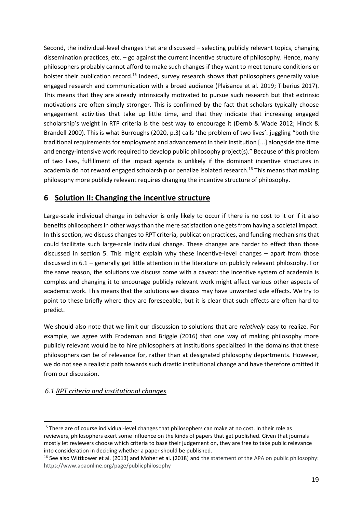Second, the individual-level changes that are discussed – selecting publicly relevant topics, changing dissemination practices, etc.  $-go$  against the current incentive structure of philosophy. Hence, many philosophers probably cannot afford to make such changes if they want to meet tenure conditions or bolster their publication record.<sup>15</sup> Indeed, survey research shows that philosophers generally value engaged research and communication with a broad audience (Plaisance et al. 2019; Tiberius 2017). This means that they are already intrinsically motivated to pursue such research but that extrinsic motivations are often simply stronger. This is confirmed by the fact that scholars typically choose engagement activities that take up little time, and that they indicate that increasing engaged scholarship's weight in RTP criteria is the best way to encourage it (Demb & Wade 2012; Hinck & Brandell 2000). This is what Burroughs (2020, p.3) calls 'the problem of two lives': juggling "both the traditional requirements for employment and advancement in their institution [...] alongside the time and energy-intensive work required to develop public philosophy project(s)." Because of this problem of two lives, fulfillment of the impact agenda is unlikely if the dominant incentive structures in academia do not reward engaged scholarship or penalize isolated research.<sup>16</sup> This means that making philosophy more publicly relevant requires changing the incentive structure of philosophy.

## **6 Solution II: Changing the incentive structure**

Large-scale individual change in behavior is only likely to occur if there is no cost to it or if it also benefits philosophers in other ways than the mere satisfaction one gets from having a societal impact. In this section, we discuss changes to RPT criteria, publication practices, and funding mechanisms that could facilitate such large-scale individual change. These changes are harder to effect than those discussed in section 5. This might explain why these incentive-level changes – apart from those discussed in 6.1 – generally get little attention in the literature on publicly relevant philosophy. For the same reason, the solutions we discuss come with a caveat: the incentive system of academia is complex and changing it to encourage publicly relevant work might affect various other aspects of academic work. This means that the solutions we discuss may have unwanted side effects. We try to point to these briefly where they are foreseeable, but it is clear that such effects are often hard to predict.

We should also note that we limit our discussion to solutions that are *relatively* easy to realize. For example, we agree with Frodeman and Briggle (2016) that one way of making philosophy more publicly relevant would be to hire philosophers at institutions specialized in the domains that these philosophers can be of relevance for, rather than at designated philosophy departments. However, we do not see a realistic path towards such drastic institutional change and have therefore omitted it from our discussion.

## *6.1 RPT criteria and institutional changes*

<sup>&</sup>lt;sup>15</sup> There are of course individual-level changes that philosophers can make at no cost. In their role as reviewers, philosophers exert some influence on the kinds of papers that get published. Given that journals mostly let reviewers choose which criteria to base their judgement on, they are free to take public relevance into consideration in deciding whether a paper should be published.

<sup>&</sup>lt;sup>16</sup> See also Wittkower et al. (2013) and Moher et al. (2018) and the statement of the APA on public philosophy: https://www.apaonline.org/page/publicphilosophy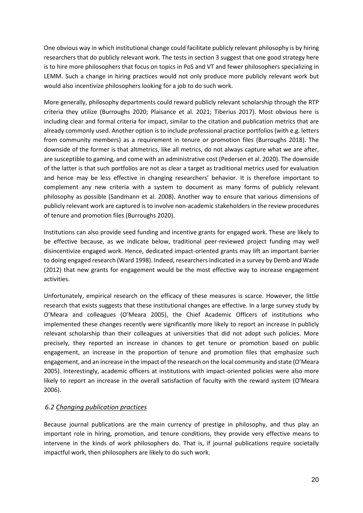One obvious way in which institutional change could facilitate publicly relevant philosophy is by hiring researchers that do publicly relevant work. The tests in section 3 suggest that one good strategy here is to hire more philosophers that focus on topics in PoS and VT and fewer philosophers specializing in LEMM. Such a change in hiring practices would not only produce more publicly relevant work but would also incentivize philosophers looking for a job to do such work.

More generally, philosophy departments could reward publicly relevant scholarship through the RTP criteria they utilize (Burroughs 2020; Plaisance et al. 2021; Tiberius 2017). Most obvious here is including clear and formal criteria for impact, similar to the citation and publication metrics that are already commonly used. Another option is to include professional practice portfolios (with e.g. letters from community members) as a requirement in tenure or promotion files (Burroughs 2018). The downside of the former is that altmetrics, like all metrics, do not always capture what we are after, are susceptible to gaming, and come with an administrative cost (Pedersen et al. 2020). The downside of the latter is that such portfolios are not as clear a target as traditional metrics used for evaluation and hence may be less effective in changing researchers' behavior. It is therefore important to complement any new criteria with a system to document as many forms of publicly relevant philosophy as possible (Sandmann et al. 2008). Another way to ensure that various dimensions of publicly relevant work are captured is to involve non-academic stakeholders in the review procedures of tenure and promotion files (Burroughs 2020).

Institutions can also provide seed funding and incentive grants for engaged work. These are likely to be effective because, as we indicate below, traditional peer-reviewed project funding may well disincentivize engaged work. Hence, dedicated impact-oriented grants may lift an important barrier to doing engaged research (Ward 1998). Indeed, researchers indicated in a survey by Demb and Wade (2012) that new grants for engagement would be the most effective way to increase engagement activities.

Unfortunately, empirical research on the efficacy of these measures is scarce. However, the little research that exists suggests that these institutional changes are effective. In a large survey study by O'Meara and colleagues (O'Meara 2005), the Chief Academic Officers of institutions who implemented these changes recently were significantly more likely to report an increase in publicly relevant scholarship than their colleagues at universities that did not adopt such policies. More precisely, they reported an increase in chances to get tenure or promotion based on public engagement, an increase in the proportion of tenure and promotion files that emphasize such engagement, and an increase in the impact of the research on the local community and state (O'Meara 2005). Interestingly, academic officers at institutions with impact-oriented policies were also more likely to report an increase in the overall satisfaction of faculty with the reward system (O'Meara 2006).

#### *6.2 Changing publication practices*

Because journal publications are the main currency of prestige in philosophy, and thus play an important role in hiring, promotion, and tenure conditions, they provide very effective means to intervene in the kinds of work philosophers do. That is, if journal publications require societally impactful work, then philosophers are likely to do such work.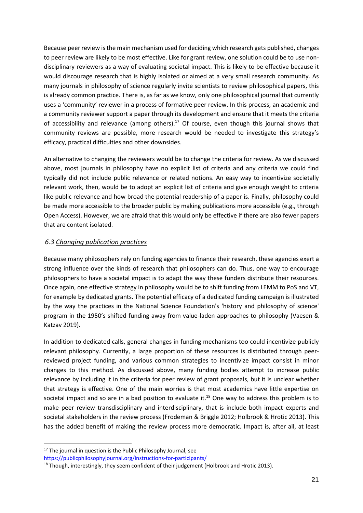Because peer review is the main mechanism used for deciding which research gets published, changes to peer review are likely to be most effective. Like for grant review, one solution could be to use nondisciplinary reviewers as a way of evaluating societal impact. This is likely to be effective because it would discourage research that is highly isolated or aimed at a very small research community. As many journals in philosophy of science regularly invite scientists to review philosophical papers, this is already common practice. There is, as far as we know, only one philosophical journal that currently uses a 'community' reviewer in a process of formative peer review. In this process, an academic and a community reviewer support a paper through its development and ensure that it meets the criteria of accessibility and relevance (among others). $17$  Of course, even though this journal shows that community reviews are possible, more research would be needed to investigate this strategy's efficacy, practical difficulties and other downsides.

An alternative to changing the reviewers would be to change the criteria for review. As we discussed above, most journals in philosophy have no explicit list of criteria and any criteria we could find typically did not include public relevance or related notions. An easy way to incentivize societally relevant work, then, would be to adopt an explicit list of criteria and give enough weight to criteria like public relevance and how broad the potential readership of a paper is. Finally, philosophy could be made more accessible to the broader public by making publications more accessible (e.g., through Open Access). However, we are afraid that this would only be effective if there are also fewer papers that are content isolated.

#### *6.3 Changing publication practices*

Because many philosophers rely on funding agencies to finance their research, these agencies exert a strong influence over the kinds of research that philosophers can do. Thus, one way to encourage philosophers to have a societal impact is to adapt the way these funders distribute their resources. Once again, one effective strategy in philosophy would be to shift funding from LEMM to PoS and VT, for example by dedicated grants. The potential efficacy of a dedicated funding campaign is illustrated by the way the practices in the National Science Foundation's 'history and philosophy of science' program in the 1950's shifted funding away from value-laden approaches to philosophy (Vaesen & Katzav 2019).

In addition to dedicated calls, general changes in funding mechanisms too could incentivize publicly relevant philosophy. Currently, a large proportion of these resources is distributed through peerreviewed project funding, and various common strategies to incentivize impact consist in minor changes to this method. As discussed above, many funding bodies attempt to increase public relevance by including it in the criteria for peer review of grant proposals, but it is unclear whether that strategy is effective. One of the main worries is that most academics have little expertise on societal impact and so are in a bad position to evaluate it.<sup>18</sup> One way to address this problem is to make peer review transdisciplinary and interdisciplinary, that is include both impact experts and societal stakeholders in the review process (Frodeman & Briggle 2012; Holbrook & Hrotic 2013). This has the added benefit of making the review process more democratic. Impact is, after all, at least

<https://publicphilosophyjournal.org/instructions-for-participants/>

<sup>&</sup>lt;sup>17</sup> The journal in question is the Public Philosophy Journal, see

<sup>&</sup>lt;sup>18</sup> Though, interestingly, they seem confident of their judgement (Holbrook and Hrotic 2013).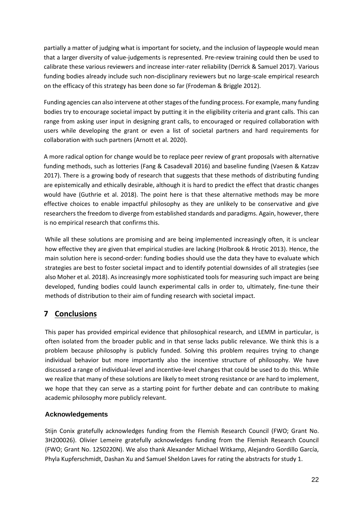partially a matter of judging what is important for society, and the inclusion of laypeople would mean that a larger diversity of value-judgements is represented. Pre-review training could then be used to calibrate these various reviewers and increase inter-rater reliability (Derrick & Samuel 2017). Various funding bodies already include such non-disciplinary reviewers but no large-scale empirical research on the efficacy of this strategy has been done so far (Frodeman & Briggle 2012).

Funding agencies can also intervene at other stages of the funding process. For example, many funding bodies try to encourage societal impact by putting it in the eligibility criteria and grant calls. This can range from asking user input in designing grant calls, to encouraged or required collaboration with users while developing the grant or even a list of societal partners and hard requirements for collaboration with such partners (Arnott et al. 2020).

A more radical option for change would be to replace peer review of grant proposals with alternative funding methods, such as lotteries (Fang & Casadevall 2016) and baseline funding (Vaesen & Katzav 2017). There is a growing body of research that suggests that these methods of distributing funding are epistemically and ethically desirable, although it is hard to predict the effect that drastic changes would have (Guthrie et al. 2018). The point here is that these alternative methods may be more effective choices to enable impactful philosophy as they are unlikely to be conservative and give researchers the freedom to diverge from established standards and paradigms. Again, however, there is no empirical research that confirms this.

While all these solutions are promising and are being implemented increasingly often, it is unclear how effective they are given that empirical studies are lacking (Holbrook & Hrotic 2013). Hence, the main solution here is second-order: funding bodies should use the data they have to evaluate which strategies are best to foster societal impact and to identify potential downsides of all strategies (see also Moher et al. 2018). As increasingly more sophisticated tools for measuring such impact are being developed, funding bodies could launch experimental calls in order to, ultimately, fine-tune their methods of distribution to their aim of funding research with societal impact.

# **7 Conclusions**

This paper has provided empirical evidence that philosophical research, and LEMM in particular, is often isolated from the broader public and in that sense lacks public relevance. We think this is a problem because philosophy is publicly funded. Solving this problem requires trying to change individual behavior but more importantly also the incentive structure of philosophy. We have discussed a range of individual-level and incentive-level changes that could be used to do this. While we realize that many of these solutions are likely to meet strong resistance or are hard to implement, we hope that they can serve as a starting point for further debate and can contribute to making academic philosophy more publicly relevant.

## **Acknowledgements**

Stijn Conix gratefully acknowledges funding from the Flemish Research Council (FWO; Grant No. 3H200026). Olivier Lemeire gratefully acknowledges funding from the Flemish Research Council (FWO; Grant No. 12S0220N). We also thank Alexander Michael Witkamp, Alejandro Gordillo García, Phyla Kupferschmidt, Dashan Xu and Samuel Sheldon Laves for rating the abstracts for study 1.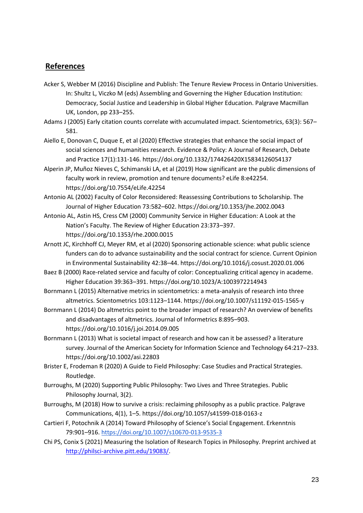## **References**

- Acker S, Webber M (2016) Discipline and Publish: The Tenure Review Process in Ontario Universities. In: Shultz L, Viczko M (eds) Assembling and Governing the Higher Education Institution: Democracy, Social Justice and Leadership in Global Higher Education. Palgrave Macmillan UK, London, pp 233–255.
- Adams J (2005) Early citation counts correlate with accumulated impact. Scientometrics, 63(3): 567– 581.
- Aiello E, Donovan C, Duque E, et al (2020) Effective strategies that enhance the social impact of social sciences and humanities research. Evidence & Policy: A Journal of Research, Debate and Practice 17(1):131-146. https://doi.org/10.1332/174426420X15834126054137
- Alperin JP, Muñoz Nieves C, Schimanski LA, et al (2019) How significant are the public dimensions of faculty work in review, promotion and tenure documents? eLife 8:e42254. https://doi.org/10.7554/eLife.42254
- Antonio AL (2002) Faculty of Color Reconsidered: Reassessing Contributions to Scholarship. The Journal of Higher Education 73:582–602. https://doi.org/10.1353/jhe.2002.0043
- Antonio AL, Astin HS, Cress CM (2000) Community Service in Higher Education: A Look at the Nation's Faculty. The Review of Higher Education 23:373–397. https://doi.org/10.1353/rhe.2000.0015
- Arnott JC, Kirchhoff CJ, Meyer RM, et al (2020) Sponsoring actionable science: what public science funders can do to advance sustainability and the social contract for science. Current Opinion in Environmental Sustainability 42:38–44. https://doi.org/10.1016/j.cosust.2020.01.006
- Baez B (2000) Race-related service and faculty of color: Conceptualizing critical agency in academe. Higher Education 39:363–391. https://doi.org/10.1023/A:1003972214943
- Bornmann L (2015) Alternative metrics in scientometrics: a meta-analysis of research into three altmetrics. Scientometrics 103:1123–1144. https://doi.org/10.1007/s11192-015-1565-y
- Bornmann L (2014) Do altmetrics point to the broader impact of research? An overview of benefits and disadvantages of altmetrics. Journal of Informetrics 8:895–903. https://doi.org/10.1016/j.joi.2014.09.005
- Bornmann L (2013) What is societal impact of research and how can it be assessed? a literature survey. Journal of the American Society for Information Science and Technology 64:217–233. https://doi.org/10.1002/asi.22803
- Brister E, Frodeman R (2020) A Guide to Field Philosophy: Case Studies and Practical Strategies. Routledge.
- Burroughs, M (2020) Supporting Public Philosophy: Two Lives and Three Strategies. Public Philosophy Journal, 3(2).
- Burroughs, M (2018) How to survive a crisis: reclaiming philosophy as a public practice. Palgrave Communications, 4(1), 1–5. https://doi.org/10.1057/s41599-018-0163-z
- Cartieri F, Potochnik A (2014) Toward Philosophy of Science's Social Engagement. Erkenntnis 79:901–916.<https://doi.org/10.1007/s10670-013-9535-3>
- Chi PS, Conix S (2021) Measuring the Isolation of Research Topics in Philosophy. Preprint archived at [http://philsci-archive.pitt.edu/19083/.](http://philsci-archive.pitt.edu/19083/)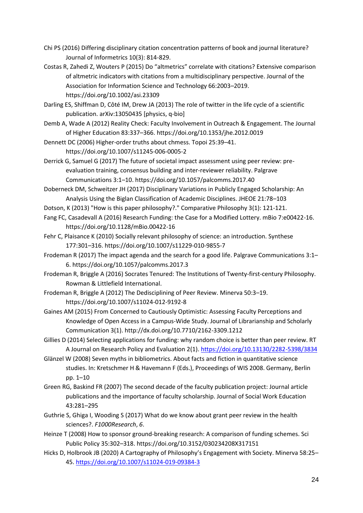- Chi PS (2016) Differing disciplinary citation concentration patterns of book and journal literature? Journal of Informetrics 10(3): 814-829.
- Costas R, Zahedi Z, Wouters P (2015) Do "altmetrics" correlate with citations? Extensive comparison of altmetric indicators with citations from a multidisciplinary perspective. Journal of the Association for Information Science and Technology 66:2003–2019. https://doi.org/10.1002/asi.23309
- Darling ES, Shiffman D, Côté IM, Drew JA (2013) The role of twitter in the life cycle of a scientific publication. arXiv:13050435 [physics, q-bio]
- Demb A, Wade A (2012) Reality Check: Faculty Involvement in Outreach & Engagement. The Journal of Higher Education 83:337–366. https://doi.org/10.1353/jhe.2012.0019
- Dennett DC (2006) Higher-order truths about chmess. Topoi 25:39–41. https://doi.org/10.1007/s11245-006-0005-2
- Derrick G, Samuel G (2017) The future of societal impact assessment using peer review: preevaluation training, consensus building and inter-reviewer reliability. Palgrave Communications 3:1–10. https://doi.org/10.1057/palcomms.2017.40
- Doberneck DM, Schweitzer JH (2017) Disciplinary Variations in Publicly Engaged Scholarship: An Analysis Using the Biglan Classification of Academic Disciplines. JHEOE 21:78–103
- Dotson, K (2013) "How is this paper philosophy?." Comparative Philosophy 3(1): 121-121.
- Fang FC, Casadevall A (2016) Research Funding: the Case for a Modified Lottery. mBio 7:e00422-16. https://doi.org/10.1128/mBio.00422-16
- Fehr C, Plaisance K (2010) Socially relevant philosophy of science: an introduction. Synthese 177:301–316. https://doi.org/10.1007/s11229-010-9855-7
- Frodeman R (2017) The impact agenda and the search for a good life. Palgrave Communications 3:1– 6. https://doi.org/10.1057/palcomms.2017.3
- Frodeman R, Briggle A (2016) Socrates Tenured: The Institutions of Twenty-first-century Philosophy. Rowman & Littlefield International.
- Frodeman R, Briggle A (2012) The Dedisciplining of Peer Review. Minerva 50:3–19. https://doi.org/10.1007/s11024-012-9192-8
- Gaines AM (2015) From Concerned to Cautiously Optimistic: Assessing Faculty Perceptions and Knowledge of Open Access in a Campus-Wide Study. Journal of Librarianship and Scholarly Communication 3(1). http://dx.doi.org/10.7710/2162-3309.1212
- Gillies D (2014) Selecting applications for funding: why random choice is better than peer review. RT A Journal on Research Policy and Evaluation 2(1)[. https://doi.org/10.13130/2282-5398/3834](https://doi.org/10.13130/2282-5398/3834)
- Glänzel W (2008) Seven myths in bibliometrics. About facts and fiction in quantitative science studies. In: Kretschmer H & Havemann F (Eds.), Proceedings of WIS 2008. Germany, Berlin pp. 1–10
- Green RG, Baskind FR (2007) The second decade of the faculty publication project: Journal article publications and the importance of faculty scholarship. Journal of Social Work Education 43:281–295
- Guthrie S, Ghiga I, Wooding S (2017) What do we know about grant peer review in the health sciences?. *F1000Research*, *6*.
- Heinze T (2008) How to sponsor ground-breaking research: A comparison of funding schemes. Sci Public Policy 35:302–318. https://doi.org/10.3152/030234208X317151
- Hicks D, Holbrook JB (2020) A Cartography of Philosophy's Engagement with Society. Minerva 58:25– 45[. https://doi.org/10.1007/s11024-019-09384-3](https://doi.org/10.1007/s11024-019-09384-3)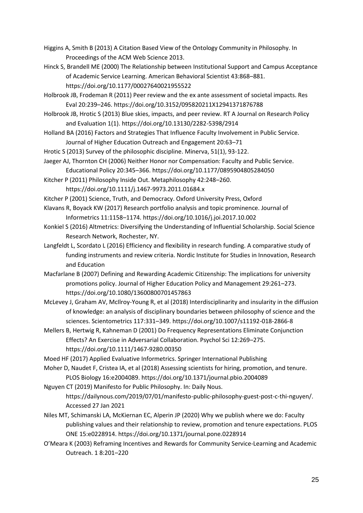- Higgins A, Smith B (2013) A Citation Based View of the Ontology Community in Philosophy. In Proceedings of the ACM Web Science 2013.
- Hinck S, Brandell ME (2000) The Relationship between Institutional Support and Campus Acceptance of Academic Service Learning. American Behavioral Scientist 43:868–881. https://doi.org/10.1177/00027640021955522
- Holbrook JB, Frodeman R (2011) Peer review and the ex ante assessment of societal impacts. Res Eval 20:239–246. https://doi.org/10.3152/095820211X12941371876788
- Holbrook JB, Hrotic S (2013) Blue skies, impacts, and peer review. RT A Journal on Research Policy and Evaluation 1(1). https://doi.org/10.13130/2282-5398/2914
- Holland BA (2016) Factors and Strategies That Influence Faculty Involvement in Public Service. Journal of Higher Education Outreach and Engagement 20:63–71
- Hrotic S (2013) Survey of the philosophic discipline. Minerva, 51(1), 93-122.
- Jaeger AJ, Thornton CH (2006) Neither Honor nor Compensation: Faculty and Public Service. Educational Policy 20:345–366. https://doi.org/10.1177/0895904805284050
- Kitcher P (2011) Philosophy Inside Out. Metaphilosophy 42:248–260. https://doi.org/10.1111/j.1467-9973.2011.01684.x
- Kitcher P (2001) Science, Truth, and Democracy. Oxford University Press, Oxford
- Klavans R, Boyack KW (2017) Research portfolio analysis and topic prominence. Journal of Informetrics 11:1158–1174. https://doi.org/10.1016/j.joi.2017.10.002
- Konkiel S (2016) Altmetrics: Diversifying the Understanding of Influential Scholarship. Social Science Research Network, Rochester, NY.
- Langfeldt L, Scordato L (2016) Efficiency and flexibility in research funding. A comparative study of funding instruments and review criteria. Nordic Institute for Studies in Innovation, Research and Education
- Macfarlane B (2007) Defining and Rewarding Academic Citizenship: The implications for university promotions policy. Journal of Higher Education Policy and Management 29:261–273. https://doi.org/10.1080/13600800701457863
- McLevey J, Graham AV, McIlroy-Young R, et al (2018) Interdisciplinarity and insularity in the diffusion of knowledge: an analysis of disciplinary boundaries between philosophy of science and the sciences. Scientometrics 117:331–349. https://doi.org/10.1007/s11192-018-2866-8
- Mellers B, Hertwig R, Kahneman D (2001) Do Frequency Representations Eliminate Conjunction Effects? An Exercise in Adversarial Collaboration. Psychol Sci 12:269–275. https://doi.org/10.1111/1467-9280.00350
- Moed HF (2017) Applied Evaluative Informetrics. Springer International Publishing
- Moher D, Naudet F, Cristea IA, et al (2018) Assessing scientists for hiring, promotion, and tenure. PLOS Biology 16:e2004089. https://doi.org/10.1371/journal.pbio.2004089
- Nguyen CT (2019) Manifesto for Public Philosophy. In: Daily Nous. https://dailynous.com/2019/07/01/manifesto-public-philosophy-guest-post-c-thi-nguyen/. Accessed 27 Jan 2021
- Niles MT, Schimanski LA, McKiernan EC, Alperin JP (2020) Why we publish where we do: Faculty publishing values and their relationship to review, promotion and tenure expectations. PLOS ONE 15:e0228914. https://doi.org/10.1371/journal.pone.0228914
- O'Meara K (2003) Reframing Incentives and Rewards for Community Service-Learning and Academic Outreach. 1 8:201–220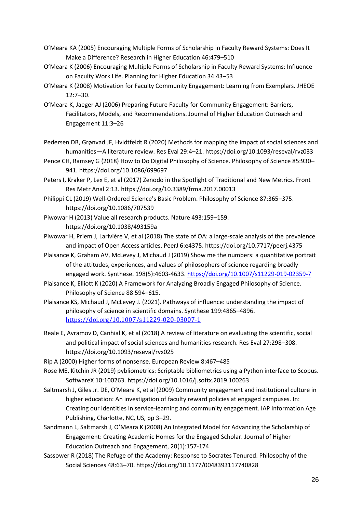- O'Meara KA (2005) Encouraging Multiple Forms of Scholarship in Faculty Reward Systems: Does It Make a Difference? Research in Higher Education 46:479–510
- O'Meara K (2006) Encouraging Multiple Forms of Scholarship in Faculty Reward Systems: Influence on Faculty Work Life. Planning for Higher Education 34:43–53
- O'Meara K (2008) Motivation for Faculty Community Engagement: Learning from Exemplars. JHEOE 12:7–30.
- O'Meara K, Jaeger AJ (2006) Preparing Future Faculty for Community Engagement: Barriers, Facilitators, Models, and Recommendations. Journal of Higher Education Outreach and Engagement 11:3–26
- Pedersen DB, Grønvad JF, Hvidtfeldt R (2020) Methods for mapping the impact of social sciences and humanities—A literature review. Res Eval 29:4–21. https://doi.org/10.1093/reseval/rvz033
- Pence CH, Ramsey G (2018) How to Do Digital Philosophy of Science. Philosophy of Science 85:930– 941. https://doi.org/10.1086/699697
- Peters I, Kraker P, Lex E, et al (2017) Zenodo in the Spotlight of Traditional and New Metrics. Front Res Metr Anal 2:13. https://doi.org/10.3389/frma.2017.00013
- Philippi CL (2019) Well-Ordered Science's Basic Problem. Philosophy of Science 87:365–375. https://doi.org/10.1086/707539
- Piwowar H (2013) Value all research products. Nature 493:159–159. https://doi.org/10.1038/493159a
- Piwowar H, Priem J, Larivière V, et al (2018) The state of OA: a large-scale analysis of the prevalence and impact of Open Access articles. PeerJ 6:e4375. https://doi.org/10.7717/peerj.4375
- Plaisance K, Graham AV, McLevey J, Michaud J (2019) Show me the numbers: a quantitative portrait of the attitudes, experiences, and values of philosophers of science regarding broadly engaged work. Synthese. 198(5):4603-4633.<https://doi.org/10.1007/s11229-019-02359-7>
- Plaisance K, Elliott K (2020) A Framework for Analyzing Broadly Engaged Philosophy of Science. Philosophy of Science 88:594–615.
- Plaisance KS, Michaud J, McLevey J. (2021). Pathways of influence: understanding the impact of philosophy of science in scientific domains. Synthese 199:4865–4896. <https://doi.org/10.1007/s11229-020-03007-1>
- Reale E, Avramov D, Canhial K, et al (2018) A review of literature on evaluating the scientific, social and political impact of social sciences and humanities research. Res Eval 27:298–308. https://doi.org/10.1093/reseval/rvx025
- Rip A (2000) Higher forms of nonsense. European Review 8:467–485
- Rose ME, Kitchin JR (2019) pybliometrics: Scriptable bibliometrics using a Python interface to Scopus. SoftwareX 10:100263. https://doi.org/10.1016/j.softx.2019.100263
- Saltmarsh J, Giles Jr. DE, O'Meara K, et al (2009) Community engagement and institutional culture in higher education: An investigation of faculty reward policies at engaged campuses. In: Creating our identities in service-learning and community engagement. IAP Information Age Publishing, Charlotte, NC, US, pp 3–29.
- Sandmann L, Saltmarsh J, O'Meara K (2008) An Integrated Model for Advancing the Scholarship of Engagement: Creating Academic Homes for the Engaged Scholar. Journal of Higher Education Outreach and Engagement, 20(1):157-174
- Sassower R (2018) The Refuge of the Academy: Response to Socrates Tenured. Philosophy of the Social Sciences 48:63–70. https://doi.org/10.1177/0048393117740828